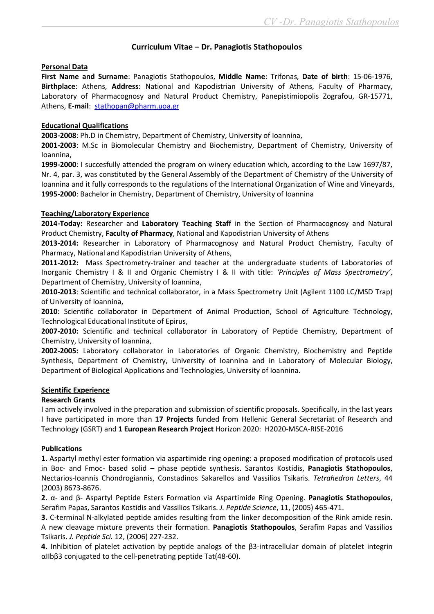# Curriculum Vitae – Dr. Panagiotis Stathopoulos

### Personal Data

First Name and Surname: Panagiotis Stathopoulos, Middle Name: Trifonas, Date of birth: 15-06-1976, Birthplace: Athens, Address: National and Kapodistrian University of Athens, Faculty of Pharmacy, Laboratory of Pharmacognosy and Natural Product Chemistry, Panepistimiopolis Zografou, GR-15771, Athens, E-mail: stathopan@pharm.uoa.gr

### Educational Qualifications

2003-2008: Ph.D in Chemistry, Department of Chemistry, University of Ioannina,

2001-2003: M.Sc in Biomolecular Chemistry and Biochemistry, Department of Chemistry, University of Ioannina,

1999-2000: I succesfully attended the program on winery education which, according to the Law 1697/87, Nr. 4, par. 3, was constituted by the General Assembly of the Department of Chemistry of the University of Ioannina and it fully corresponds to the regulations of the International Organization of Wine and Vineyards, 1995-2000: Bachelor in Chemistry, Department of Chemistry, University of Ioannina

### Teaching/Laboratory Experience

2014-Today: Researcher and Laboratory Teaching Staff in the Section of Pharmacognosy and Natural Product Chemistry, Faculty of Pharmacy, National and Kapodistrian University of Athens

2013-2014: Researcher in Laboratory of Pharmacognosy and Natural Product Chemistry, Faculty of Pharmacy, National and Kapodistrian University of Athens,

2011-2012: Mass Spectrometry-trainer and teacher at the undergraduate students of Laboratories of Inorganic Chemistry I & II and Organic Chemistry I & II with title: 'Principles of Mass Spectrometry', Department of Chemistry, University of Ioannina,

2010-2013: Scientific and technical collaborator, in a Mass Spectrometry Unit (Agilent 1100 LC/MSD Trap) of University of Ioannina,

2010: Scientific collaborator in Department of Animal Production, School of Agriculture Technology, Technological Educational Institute of Epirus,

2007-2010: Scientific and technical collaborator in Laboratory of Peptide Chemistry, Department of Chemistry, University of Ioannina,

2002-2005: Laboratory collaborator in Laboratories of Organic Chemistry, Biochemistry and Peptide Synthesis, Department of Chemistry, University of Ioannina and in Laboratory of Molecular Biology, Department of Biological Applications and Technologies, University of Ioannina.

#### Scientific Experience

# Research Grants

I am actively involved in the preparation and submission of scientific proposals. Specifically, in the last years I have participated in more than 17 Projects funded from Hellenic General Secretariat of Research and Technology (GSRT) and 1 European Research Project Horizon 2020: H2020-MSCA-RISE-2016

#### Publications

1. Aspartyl methyl ester formation via aspartimide ring opening: a proposed modification of protocols used in Boc- and Fmoc- based solid – phase peptide synthesis. Sarantos Kostidis, Panagiotis Stathopoulos, Nectarios-Ioannis Chondrogiannis, Constadinos Sakarellos and Vassilios Tsikaris. Tetrahedron Letters, 44 (2003) 8673-8676.

2. α- and β- Aspartyl Peptide Esters Formation via Aspartimide Ring Opening. Panagiotis Stathopoulos, Serafim Papas, Sarantos Kostidis and Vassilios Tsikaris. J. Peptide Science, 11, (2005) 465-471.

3. C-terminal N-alkylated peptide amides resulting from the linker decomposition of the Rink amide resin. A new cleavage mixture prevents their formation. Panagiotis Stathopoulos, Serafim Papas and Vassilios Tsikaris. J. Peptide Sci. 12, (2006) 227-232.

4. Inhibition of platelet activation by peptide analogs of the β3-intracellular domain of platelet integrin αIIbβ3 conjugated to the cell-penetrating peptide Tat(48-60).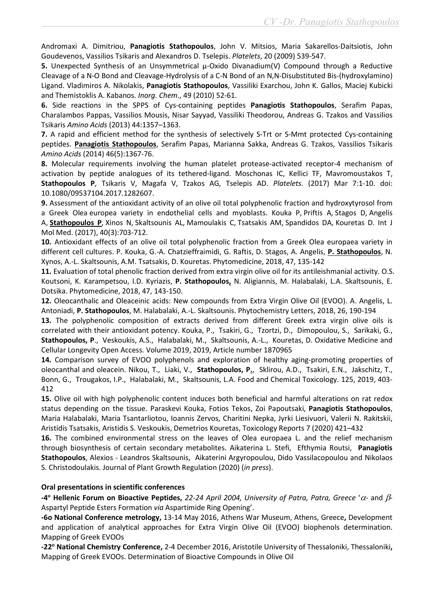Andromaxi A. Dimitriou, Panagiotis Stathopoulos, John V. Mitsios, Maria Sakarellos-Daitsiotis, John Goudevenos, Vassilios Tsikaris and Alexandros D. Tselepis. Platelets, 20 (2009) 539-547.

5. Unexpected Synthesis of an Unsymmetrical μ-Oxido Divanadium(V) Compound through a Reductive Cleavage of a N-O Bond and Cleavage-Hydrolysis of a C-N Bond of an N,N-Disubstituted Bis-(hydroxylamino) Ligand. Vladimiros A. Nikolakis, Panagiotis Stathopoulos, Vassiliki Exarchou, John K. Gallos, Maciej Kubicki and Themistoklis A. Kabanos. Inorg. Chem., 49 (2010) 52-61.

6. Side reactions in the SPPS of Cys-containing peptides Panagiotis Stathopoulos, Serafim Papas, Charalambos Pappas, Vassilios Mousis, Nisar Sayyad, Vassiliki Theodorou, Andreas G. Tzakos and Vassilios Tsikaris Amino Acids (2013) 44:1357–1363.

7. A rapid and efficient method for the synthesis of selectively S-Trt or S-Mmt protected Cys-containing peptides. Panagiotis Stathopoulos, Serafim Papas, Marianna Sakka, Andreas G. Tzakos, Vassilios Tsikaris Amino Acids (2014) 46(5):1367-76.

8. Molecular requirements involving the human platelet protease-activated receptor-4 mechanism of activation by peptide analogues of its tethered-ligand. Moschonas IC, Kellici TF, Mavromoustakos T, Stathopoulos P, Tsikaris V, Magafa V, Tzakos AG, Tselepis AD. Platelets. (2017) Mar 7:1-10. doi: 10.1080/09537104.2017.1282607.

9. Assessment of the antioxidant activity of an olive oil total polyphenolic fraction and hydroxytyrosol from a Greek Olea europea variety in endothelial cells and myoblasts. Kouka P, Priftis A, Stagos D, Angelis A, Stathopoulos P, Xinos N, Skaltsounis AL, Mamoulakis C, Tsatsakis AM, Spandidos DA, Kouretas D. Int J Mol Med. (2017), 40(3):703-712.

10. Antioxidant effects of an olive oil total polyphenolic fraction from a Greek Olea europaea variety in different cell cultures. P. Kouka, G.-A. Chatzieffraimidi, G. Raftis, D. Stagos, A. Angelis, P. Stathopoulos, N. Xynos, A.-L. Skaltsounis, A.M. Tsatsakis, D. Kouretas. Phytomedicine, 2018, 47, 135-142

11. Evaluation of total phenolic fraction derived from extra virgin olive oil for its antileishmanial activity. O.S. Koutsoni, K. Karampetsou, I.D. Kyriazis, P. Stathopoulos, N. Aligiannis, M. Halabalaki, L.A. Skaltsounis, E. Dotsika. Phytomedicine, 2018, 47, 143-150.

12. Oleocanthalic and Oleaceinic acids: New compounds from Extra Virgin Olive Oil (EVOO). A. Angelis, L. Antoniadi, P. Stathopoulos, M. Halabalaki, A.-L. Skaltsounis. Phytochemistry Letters, 2018, 26, 190-194

13. The polyphenolic composition of extracts derived from different Greek extra virgin olive oils is correlated with their antioxidant potency. Kouka, P., Tsakiri, G., Tzortzi, D., Dimopoulou, S., Sarikaki, G., Stathopoulos, P., Veskoukis, A.S., Halabalaki, M., Skaltsounis, A.-L., Kouretas, D. Oxidative Medicine and Cellular Longevity Open Access. Volume 2019, 2019, Article number 1870965

14. Comparison survey of EVOO polyphenols and exploration of healthy aging-promoting properties of oleocanthal and oleacein. Nikou, T., Liaki, V., Stathopoulos, P., Sklirou, A.D., Tsakiri, E.N., Jakschitz, T., Bonn, G., Trougakos, I.P., Halabalaki, M., Skaltsounis, L.A. Food and Chemical Toxicology. 125, 2019, 403- 412

15. Olive oil with high polyphenolic content induces both beneficial and harmful alterations on rat redox status depending on the tissue. Paraskevi Kouka, Fotios Tekos, Zoi Papoutsaki, Panagiotis Stathopoulos, Maria Halabalaki, Maria Tsantarliotou, Ioannis Zervos, Charitini Nepka, Jyrki Liesivuori, Valerii N. Rakitskii, Aristidis Tsatsakis, Aristidis S. Veskoukis, Demetrios Kouretas, Toxicology Reports 7 (2020) 421–432

16. The combined environmental stress on the leaves of Olea europaea L. and the relief mechanism through biosynthesis of certain secondary metabolites. Aikaterina L. Stefi, Efthymia Routsi, Panagiotis Stathopoulos, Alexios - Leandros Skaltsounis, Aikaterini Argyropoulou, Dido Vassilacopoulou and Nikolaos S. Christodoulakis. Journal of Plant Growth Regulation (2020) (in press).

# Oral presentations in scientific conferences

-4° Hellenic Forum on Bioactive Peptides, 22-24 April 2004, University of Patra, Patra, Greece ' $\alpha$ - and  $\beta$ -Aspartyl Peptide Esters Formation via Aspartimide Ring Opening'.

-6ο National Conference metrology, 13-14 May 2016, Athens War Museum, Athens, Greece, Development and application of analytical approaches for Extra Virgin Olive Oil (EVOO) biophenols determination. Mapping of Greek EVOOs

-22<sup>o</sup> National Chemistry Conference, 2-4 December 2016, Aristotile University of Thessaloniki, Thessaloniki, Mapping of Greek EVOOs. Determination of Bioactive Compounds in Olive Oil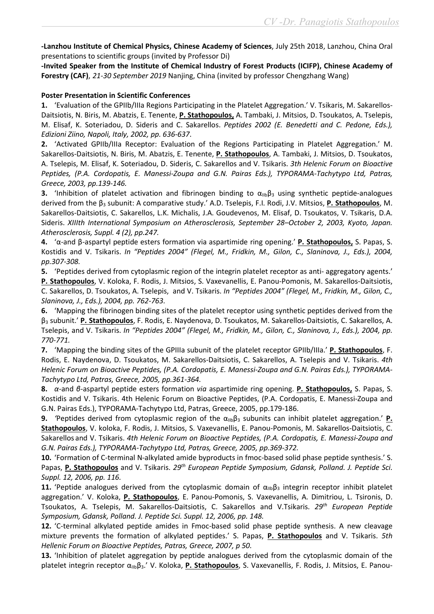-Lanzhou Institute of Chemical Physics, Chinese Academy of Sciences, July 25th 2018, Lanzhou, China Oral presentations to scientific groups (invited by Professor Di)

-Invited Speaker from the Institute of Chemical Industry of Forest Products (ICIFP), Chinese Academy of Forestry (CAF), 21-30 September 2019 Nanjing, China (invited by professor Chengzhang Wang)

### Poster Presentation in Scientific Conferences

1. 'Evaluation of the GPIIb/IIIa Regions Participating in the Platelet Aggregation.' V. Tsikaris, M. Sakarellos-Daitsiotis, N. Biris, M. Abatzis, E. Tenente, P. Stathopoulos, A. Tambaki, J. Mitsios, D. Tsoukatos, A. Tselepis, M. Elisaf, K. Soteriadou, D. Sideris and C. Sakarellos. Peptides 2002 (E. Benedetti and C. Pedone, Eds.), Edizioni Ziino, Napoli, Italy, 2002, pp. 636-637.

2. 'Activated GPIIb/IIIa Receptor: Evaluation of the Regions Participating in Platelet Aggregation.' M. Sakarellos-Daitsiotis, N. Biris, M. Abatzis, E. Tenente, P. Stathopoulos, A. Tambaki, J. Mitsios, D. Tsoukatos, A. Tselepis, M. Elisaf, K. Soteriadou, D. Sideris, C. Sakarellos and V. Tsikaris. 3th Helenic Forum on Bioactive Peptides, (P.A. Cordopatis, E. Manessi-Zoupa and G.N. Pairas Eds.), TYPORAMA-Tachytypo Ltd, Patras, Greece, 2003, pp.139-146.

3. 'Inhibition of platelet activation and fibrinogen binding to  $\alpha_{\text{lib}}\beta_3$  using synthetic peptide-analogues derived from the β<sub>3</sub> subunit: A comparative study.' A.D. Tselepis, F.I. Rodi, J.V. Mitsios, **P. Stathopoulos**, M. Sakarellos-Daitsiotis, C. Sakarellos, L.K. Michalis, J.A. Goudevenos, M. Elisaf, D. Tsoukatos, V. Tsikaris, D.A. Sideris. XIIIth International Symposium on Atherosclerosis, September 28–October 2, 2003, Kyoto, Japan. Atherosclerosis, Suppl. 4 (2), pp.247.

4. 'α-and β-aspartyl peptide esters formation via aspartimide ring opening.' P. Stathopoulos, S. Papas, S. Kostidis and V. Tsikaris. In "Peptides 2004" (Flegel, M., Fridkin, M., Gilon, C., Slaninova, J., Eds.), 2004, pp.307-308.

5. 'Peptides derived from cytoplasmic region of the integrin platelet receptor as anti- aggregatory agents.' P. Stathopoulos, V. Koloka, F. Rodis, J. Mitsios, S. Vaxevanellis, E. Panou-Pomonis, M. Sakarellos-Daitsiotis, C. Sakarellos, D. Tsoukatos, A. Tselepis, and V. Tsikaris. In "Peptides 2004" (Flegel, M., Fridkin, M., Gilon, C., Slaninova, J., Eds.), 2004, pp. 762-763.

6. 'Mapping the fibrinogen binding sites of the platelet receptor using synthetic peptides derived from the β3 subunit.' P. Stathopoulos, F. Rodis, E. Naydenova, D. Tsoukatos, M. Sakarellos-Daitsiotis, C. Sakarellos, A. Tselepis, and V. Tsikaris. In "Peptides 2004" (Flegel, M., Fridkin, M., Gilon, C., Slaninova, J., Eds.), 2004, pp. 770-771.

7. 'Mapping the binding sites of the GPIIIa subunit of the platelet receptor GPIIb/IIIa.' P. Stathopoulos, F. Rodis, E. Naydenova, D. Tsoukatos, M. Sakarellos-Daitsiotis, C. Sakarellos, A. Tselepis and V. Tsikaris. 4th Helenic Forum on Bioactive Peptides, (P.A. Cordopatis, E. Manessi-Zoupa and G.N. Pairas Eds.), TYPORAMA-Tachytypo Ltd, Patras, Greece, 2005, pp.361-364.

8. α-and β-aspartyl peptide esters formation via aspartimide ring opening. P. Stathopoulos, S. Papas, S. Kostidis and V. Tsikaris. 4th Helenic Forum on Bioactive Peptides, (P.A. Cordopatis, E. Manessi-Zoupa and G.N. Pairas Eds.), TYPORAMA-Tachytypo Ltd, Patras, Greece, 2005, pp.179-186.

9. 'Peptides derived from cytoplasmic region of the  $\alpha_{11b}\beta_3$  subunits can inhibit platelet aggregation.' P. Stathopoulos, V. koloka, F. Rodis, J. Mitsios, S. Vaxevanellis, E. Panou-Pomonis, M. Sakarellos-Daitsiotis, C. Sakarellos and V. Tsikaris. 4th Helenic Forum on Bioactive Peptides, (P.A. Cordopatis, E. Manessi-Zoupa and G.N. Pairas Eds.), TYPORAMA-Tachytypo Ltd, Patras, Greece, 2005, pp.369-372.

10. 'Formation of C-terminal N-alkylated amide byproducts in fmoc-based solid phase peptide synthesis.' S. Papas, P. Stathopoulos and V. Tsikaris. 29<sup>th</sup> European Peptide Symposium, Gdansk, Polland. J. Peptide Sci. Suppl. 12, 2006, pp. 116.

11. 'Peptide analogues derived from the cytoplasmic domain of  $\alpha_{\text{lib}}\beta_3$  integrin receptor inhibit platelet aggregation.' V. Koloka, P. Stathopoulos, E. Panou-Pomonis, S. Vaxevanellis, A. Dimitriou, L. Tsironis, D. Tsoukatos, A. Tselepis, M. Sakarellos-Daitsiotis, C. Sakarellos and V.Tsikaris. 29<sup>th</sup> European Peptide Symposium, Gdansk, Polland. J. Peptide Sci. Suppl. 12, 2006, pp. 148.

12. 'C-terminal alkylated peptide amides in Fmoc-based solid phase peptide synthesis. A new cleavage mixture prevents the formation of alkylated peptides.' S. Papas, P. Stathopoulos and V. Tsikaris. 5th Hellenic Forum on Bioactive Peptides, Patras, Greece, 2007, p 50.

13. 'Inhibition of platelet aggregation by peptide analogues derived from the cytoplasmic domain of the platelet integrin receptor α<sub>IIb</sub>β<sub>3</sub>.' V. Koloka, P. Stathopoulos, S. Vaxevanellis, F. Rodis, J. Mitsios, E. Panou-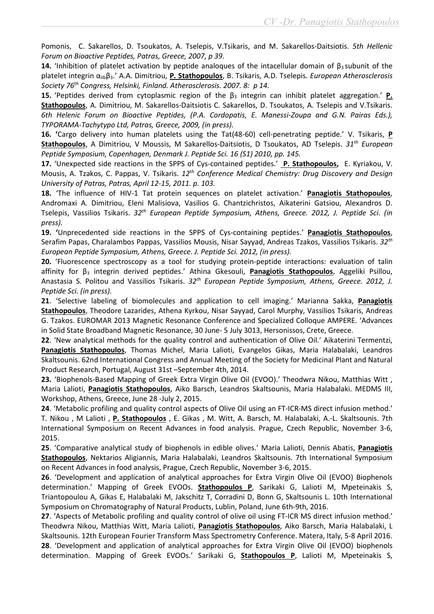Pomonis, C. Sakarellos, D. Tsoukatos, A. Tselepis, V.Tsikaris, and M. Sakarellos-Daitsiotis. 5th Hellenic Forum on Bioactive Peptides, Patras, Greece, 2007, p 39.

14. 'Inhibition of platelet activation by peptide analogues of the intacellular domain of  $\beta_3$  subunit of the platelet integrin α<sub>IIb</sub>β<sub>3</sub>.' A.A. Dimitriou, P. Stathopoulos, B. Tsikaris, A.D. Tselepis. *European Atherosclerosis* Society 76<sup>th</sup> Congress, Helsinki, Finland. Atherosclerosis. 2007. 8: p 14.

15. 'Peptides derived from cytoplasmic region of the  $\beta_3$  integrin can inhibit platelet aggregation.' P. Stathopoulos, A. Dimitriou, M. Sakarellos-Daitsiotis C. Sakarellos, D. Tsoukatos, A. Tselepis and V.Tsikaris. 6th Helenic Forum on Bioactive Peptides, (P.A. Cordopatis, E. Manessi-Zoupa and G.N. Pairas Eds.), TYPORAMA-Tachytypo Ltd, Patras, Greece, 2009, (in press).

16. 'Cargo delivery into human platelets using the Tat(48-60) cell-penetrating peptide.' V. Tsikaris, P Stathopoulos, A Dimitriou, V Moussis, M Sakarellos-Daitsiotis, D Tsoukatos, AD Tselepis. 31<sup>th</sup> European Peptide Symposium, Copenhagen, Denmark J. Peptide Sci. 16 (S1) 2010, pp. 145.

17. 'Unexpected side reactions in the SPPS of Cys-contained peptides.' P. Stathopoulos, E. Kyriakou, V. Mousis, A. Tzakos, C. Pappas, V. Tsikaris. 12<sup>th</sup> Conference Medical Chemistry: Drug Discovery and Design University of Patras, Patras, April 12-15, 2011. p. 103.

18. 'The influence of HIV-1 Tat protein sequences on platelet activation.' Panagiotis Stathopoulos, Andromaxi A. Dimitriou, Eleni Malisiova, Vasilios G. Chantzichristos, Aikaterini Gatsiou, Alexandros D. Tselepis, Vassilios Tsikaris. 32<sup>th</sup> European Peptide Symposium, Athens, Greece. 2012, J. Peptide Sci. (in press).

19. 'Unprecedented side reactions in the SPPS of Cys-containing peptides.' Panagiotis Stathopoulos, Serafim Papas, Charalambos Pappas, Vassilios Mousis, Nisar Sayyad, Andreas Tzakos, Vassilios Tsikaris. 32<sup>th</sup> European Peptide Symposium, Athens, Greece. J. Peptide Sci. 2012, (in press).

20. 'Fluorescence spectroscopy as a tool for studying protein-peptide interactions: evaluation of talin affinity for β<sub>3</sub> integrin derived peptides.' Athina Gkesouli, **Panagiotis Stathopoulos**, Aggeliki Psillou, Anastasia S. Politou and Vassilios Tsikaris. 32<sup>th</sup> European Peptide Symposium, Athens, Greece. 2012, J. Peptide Sci. (in press).

21. 'Selective labeling of biomolecules and application to cell imaging.' Marianna Sakka, Panagiotis Stathopoulos, Theodore Lazarides, Αthena Κyrkou, Nisar Sayyad, Carol Murphy, Vassilios Τsikaris, Αndreas G. Τzakos. EUROMAR 2013 Magnetic Resonance Conference and Specialized Colloque AMPERE. 'Advances in Solid State Broadband Magnetic Resonance, 30 June- 5 July 3013, Hersonissos, Crete, Greece.

22. 'New analytical methods for the quality control and authentication of Olive Oil.' Aikaterini Termentzi, Panagiotis Stathopoulos, Thomas Michel, Maria Lalioti, Evangelos Gikas, Maria Halabalaki, Leandros Skaltsounis. 62nd International Congress and Annual Meeting of the Society for Medicinal Plant and Natural Product Research, Portugal, August 31st –September 4th, 2014.

23. 'Biophenols-Based Mapping of Greek Extra Virgin Olive Oil (EVOO).' Theodwra Nikou, Matthias Witt , Maria Lalioti, Panagiotis Stathopoulos, Aiko Barsch, Leandros Skaltsounis, Maria Halabalaki. MEDMS III, Workshop, Athens, Greece, June 28 -July 2, 2015.

24. 'Metabolic profiling and quality control aspects of Olive Oil using an FT-ICR-MS direct infusion method.' T. Nikou , M Lalioti , P. Stathopoulos , E. Gikas , M. Witt, A. Barsch, M. Halabalaki, A.-L. Skaltsounis. 7th International Symposium on Recent Advances in food analysis. Prague, Czech Republic, November 3-6, 2015.

25. 'Comparative analytical study of biophenols in edible olives.' Maria Lalioti, Dennis Abatis, Panagiotis Stathopoulos, Nektarios Aligiannis, Maria Halabalaki, Leandros Skaltsounis. 7th International Symposium on Recent Advances in food analysis, Prague, Czech Republic, November 3-6, 2015.

26. 'Development and application of analytical approaches for Extra Virgin Olive Oil (EVOO) Biophenols determination.' Mapping of Greek EVOOs. Stathopoulos P, Sarikaki G, Lalioti M, Mpeteinakis S, Triantopoulou A, Gikas E, Halabalaki M, Jakschitz T, Corradini D, Bonn G, Skaltsounis L. 10th International Symposium on Chromatography of Natural Products, Lublin, Poland, June 6th-9th, 2016.

27. 'Aspects of Metabolic profiling and quality control of olive oil using FT-ICR MS direct infusion method.' Theodwra Nikou, Matthias Witt, Maria Lalioti, Panagiotis Stathopoulos, Aiko Barsch, Maria Halabalaki, L Skaltsounis. 12th European Fourier Transform Mass Spectrometry Conference. Matera, Italy, 5-8 April 2016. 28. 'Development and application of analytical approaches for Extra Virgin Olive Oil (EVOO) biophenols determination. Mapping of Greek EVOOs.' Sarikaki G, Stathopoulos P, Lalioti M, Mpeteinakis S,